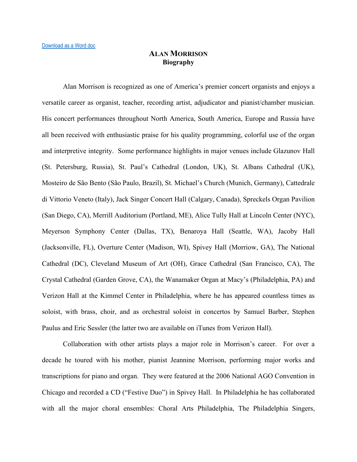## **ALAN MORRISON Biography**

Alan Morrison is recognized as one of America's premier concert organists and enjoys a versatile career as organist, teacher, recording artist, adjudicator and pianist/chamber musician. His concert performances throughout North America, South America, Europe and Russia have all been received with enthusiastic praise for his quality programming, colorful use of the organ and interpretive integrity. Some performance highlights in major venues include Glazunov Hall (St. Petersburg, Russia), St. Paul's Cathedral (London, UK), St. Albans Cathedral (UK), Mosteiro de São Bento (São Paulo, Brazil), St. Michael's Church (Munich, Germany), Cattedrale di Vittorio Veneto (Italy), Jack Singer Concert Hall (Calgary, Canada), Spreckels Organ Pavilion (San Diego, CA), Merrill Auditorium (Portland, ME), Alice Tully Hall at Lincoln Center (NYC), Meyerson Symphony Center (Dallas, TX), Benaroya Hall (Seattle, WA), Jacoby Hall (Jacksonville, FL), Overture Center (Madison, WI), Spivey Hall (Morriow, GA), The National Cathedral (DC), Cleveland Museum of Art (OH), Grace Cathedral (San Francisco, CA), The Crystal Cathedral (Garden Grove, CA), the Wanamaker Organ at Macy's (Philadelphia, PA) and Verizon Hall at the Kimmel Center in Philadelphia, where he has appeared countless times as soloist, with brass, choir, and as orchestral soloist in concertos by Samuel Barber, Stephen Paulus and Eric Sessler (the latter two are available on iTunes from Verizon Hall).

Collaboration with other artists plays a major role in Morrison's career. For over a decade he toured with his mother, pianist Jeannine Morrison, performing major works and transcriptions for piano and organ. They were featured at the 2006 National AGO Convention in Chicago and recorded a CD ("Festive Duo") in Spivey Hall. In Philadelphia he has collaborated with all the major choral ensembles: Choral Arts Philadelphia, The Philadelphia Singers,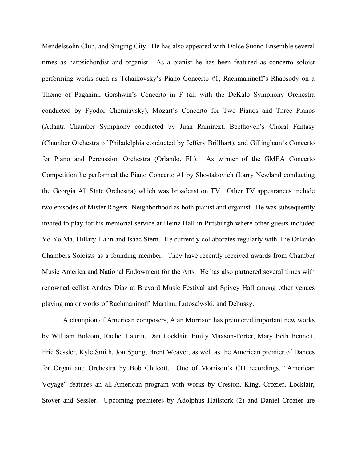Mendelssohn Club, and Singing City. He has also appeared with Dolce Suono Ensemble several times as harpsichordist and organist. As a pianist he has been featured as concerto soloist performing works such as Tchaikovsky's Piano Concerto #1, Rachmaninoff's Rhapsody on a Theme of Paganini, Gershwin's Concerto in F (all with the DeKalb Symphony Orchestra conducted by Fyodor Cherniavsky), Mozart's Concerto for Two Pianos and Three Pianos (Atlanta Chamber Symphony conducted by Juan Ramirez), Beethoven's Choral Fantasy (Chamber Orchestra of Philadelphia conducted by Jeffery Brillhart), and Gillingham's Concerto for Piano and Percussion Orchestra (Orlando, FL). As winner of the GMEA Concerto Competition he performed the Piano Concerto #1 by Shostakovich (Larry Newland conducting the Georgia All State Orchestra) which was broadcast on TV. Other TV appearances include two episodes of Mister Rogers' Neighborhood as both pianist and organist. He was subsequently invited to play for his memorial service at Heinz Hall in Pittsburgh where other guests included Yo-Yo Ma, Hillary Hahn and Isaac Stern. He currently collaborates regularly with The Orlando Chambers Soloists as a founding member. They have recently received awards from Chamber Music America and National Endowment for the Arts. He has also partnered several times with renowned cellist Andres Diaz at Brevard Music Festival and Spivey Hall among other venues playing major works of Rachmaninoff, Martinu, Lutosalwski, and Debussy.

A champion of American composers, Alan Morrison has premiered important new works by William Bolcom, Rachel Laurin, Dan Locklair, Emily Maxson-Porter, Mary Beth Bennett, Eric Sessler, Kyle Smith, Jon Spong, Brent Weaver, as well as the American premier of Dances for Organ and Orchestra by Bob Chilcott. One of Morrison's CD recordings, "American Voyage" features an all-American program with works by Creston, King, Crozier, Locklair, Stover and Sessler. Upcoming premieres by Adolphus Hailstork (2) and Daniel Crozier are